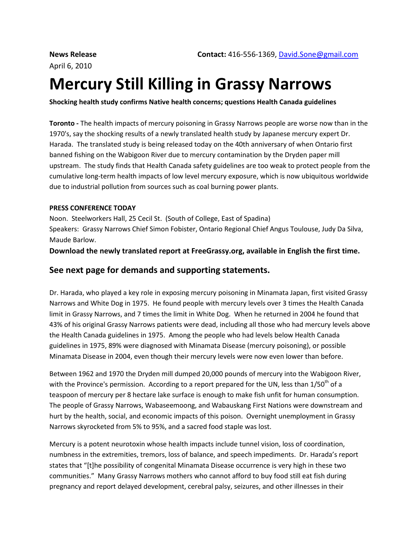# **Mercury Still Killing in Grassy Narrows**

**Shocking health study confirms Native health concerns; questions Health Canada guidelines**

**Toronto -** The health impacts of mercury poisoning in Grassy Narrows people are worse now than in the 1970's, say the shocking results of a newly translated health study by Japanese mercury expert Dr. Harada. The translated study is being released today on the 40th anniversary of when Ontario first banned fishing on the Wabigoon River due to mercury contamination by the Dryden paper mill upstream. The study finds that Health Canada safety guidelines are too weak to protect people from the cumulative long-term health impacts of low level mercury exposure, which is now ubiquitous worldwide due to industrial pollution from sources such as coal burning power plants.

#### **PRESS CONFERENCE TODAY**

Noon. Steelworkers Hall, 25 Cecil St. (South of College, East of Spadina) Speakers: Grassy Narrows Chief Simon Fobister, Ontario Regional Chief Angus Toulouse, Judy Da Silva, Maude Barlow.

**Download the newly translated report at FreeGrassy.org, available in English the first time.**

#### **See next page for demands and supporting statements.**

Dr. Harada, who played a key role in exposing mercury poisoning in Minamata Japan, first visited Grassy Narrows and White Dog in 1975. He found people with mercury levels over 3 times the Health Canada limit in Grassy Narrows, and 7 times the limit in White Dog. When he returned in 2004 he found that 43% of his original Grassy Narrows patients were dead, including all those who had mercury levels above the Health Canada guidelines in 1975. Among the people who had levels below Health Canada guidelines in 1975, 89% were diagnosed with Minamata Disease (mercury poisoning), or possible Minamata Disease in 2004, even though their mercury levels were now even lower than before.

Between 1962 and 1970 the Dryden mill dumped 20,000 pounds of mercury into the Wabigoon River, with the Province's permission. According to a report prepared for the UN, less than  $1/50<sup>th</sup>$  of a teaspoon of mercury per 8 hectare lake surface is enough to make fish unfit for human consumption. The people of Grassy Narrows, Wabaseemoong, and Wabauskang First Nations were downstream and hurt by the health, social, and economic impacts of this poison. Overnight unemployment in Grassy Narrows skyrocketed from 5% to 95%, and a sacred food staple was lost.

Mercury is a potent neurotoxin whose health impacts include tunnel vision, loss of coordination, numbness in the extremities, tremors, loss of balance, and speech impediments. Dr. Harada's report states that "[t]he possibility of congenital Minamata Disease occurrence is very high in these two communities." Many Grassy Narrows mothers who cannot afford to buy food still eat fish during pregnancy and report delayed development, cerebral palsy, seizures, and other illnesses in their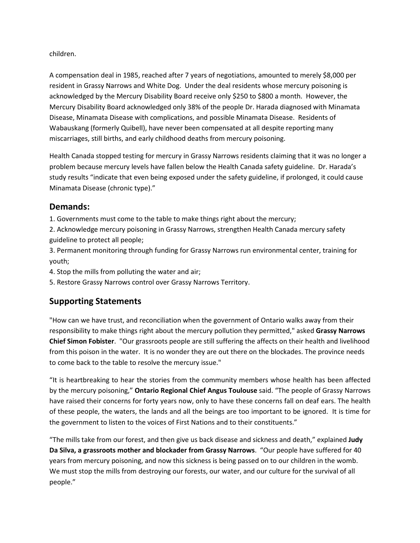children.

A compensation deal in 1985, reached after 7 years of negotiations, amounted to merely \$8,000 per resident in Grassy Narrows and White Dog. Under the deal residents whose mercury poisoning is acknowledged by the Mercury Disability Board receive only \$250 to \$800 a month. However, the Mercury Disability Board acknowledged only 38% of the people Dr. Harada diagnosed with Minamata Disease, Minamata Disease with complications, and possible Minamata Disease. Residents of Wabauskang (formerly Quibell), have never been compensated at all despite reporting many miscarriages, still births, and early childhood deaths from mercury poisoning.

Health Canada stopped testing for mercury in Grassy Narrows residents claiming that it was no longer a problem because mercury levels have fallen below the Health Canada safety guideline. Dr. Harada's study results "indicate that even being exposed under the safety guideline, if prolonged, it could cause Minamata Disease (chronic type)."

### **Demands:**

1. Governments must come to the table to make things right about the mercury;

2. Acknowledge mercury poisoning in Grassy Narrows, strengthen Health Canada mercury safety guideline to protect all people;

3. Permanent monitoring through funding for Grassy Narrows run environmental center, training for youth;

4. Stop the mills from polluting the water and air;

5. Restore Grassy Narrows control over Grassy Narrows Territory.

## **Supporting Statements**

"How can we have trust, and reconciliation when the government of Ontario walks away from their responsibility to make things right about the mercury pollution they permitted," asked **Grassy Narrows Chief Simon Fobister**. "Our grassroots people are still suffering the affects on their health and livelihood from this poison in the water. It is no wonder they are out there on the blockades. The province needs to come back to the table to resolve the mercury issue."

"It is heartbreaking to hear the stories from the community members whose health has been affected by the mercury poisoning," **Ontario Regional Chief Angus Toulouse** said. "The people of Grassy Narrows have raised their concerns for forty years now, only to have these concerns fall on deaf ears. The health of these people, the waters, the lands and all the beings are too important to be ignored. It is time for the government to listen to the voices of First Nations and to their constituents."

"The mills take from our forest, and then give us back disease and sickness and death," explained **Judy Da Silva, a grassroots mother and blockader from Grassy Narrows**. "Our people have suffered for 40 years from mercury poisoning, and now this sickness is being passed on to our children in the womb. We must stop the mills from destroying our forests, our water, and our culture for the survival of all people."